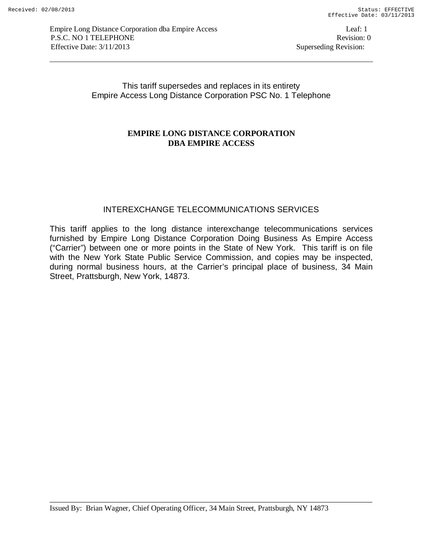This tariff supersedes and replaces in its entirety Empire Access Long Distance Corporation PSC No. 1 Telephone

## **EMPIRE LONG DISTANCE CORPORATION DBA EMPIRE ACCESS**

# INTEREXCHANGE TELECOMMUNICATIONS SERVICES

This tariff applies to the long distance interexchange telecommunications services furnished by Empire Long Distance Corporation Doing Business As Empire Access ("Carrier") between one or more points in the State of New York. This tariff is on file with the New York State Public Service Commission, and copies may be inspected, during normal business hours, at the Carrier's principal place of business, 34 Main Street, Prattsburgh, New York, 14873.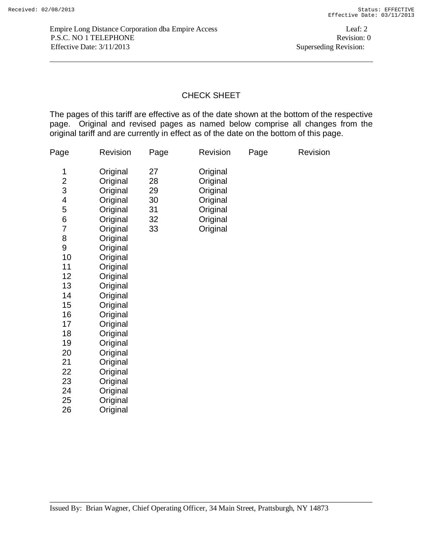# CHECK SHEET

The pages of this tariff are effective as of the date shown at the bottom of the respective page. Original and revised pages as named below comprise all changes from the original tariff and are currently in effect as of the date on the bottom of this page.

| Page                                                                                                                                                                                   | Revision                                                                                                                                                                                                                                                                                     | Page                                   | Revision                                                                         | Page | Revision |
|----------------------------------------------------------------------------------------------------------------------------------------------------------------------------------------|----------------------------------------------------------------------------------------------------------------------------------------------------------------------------------------------------------------------------------------------------------------------------------------------|----------------------------------------|----------------------------------------------------------------------------------|------|----------|
| 1<br>$\overline{c}$<br>3<br>$\overline{\mathcal{A}}$<br>5<br>$\boldsymbol{6}$<br>7<br>8<br>9<br>10<br>11<br>12<br>13<br>14<br>15<br>16<br>17<br>18<br>19<br>20<br>21<br>22<br>23<br>24 | Original<br>Original<br>Original<br>Original<br>Original<br>Original<br>Original<br>Original<br>Original<br>Original<br>Original<br>Original<br>Original<br>Original<br>Original<br>Original<br>Original<br>Original<br>Original<br>Original<br>Original<br>Original<br>Original<br>Original | 27<br>28<br>29<br>30<br>31<br>32<br>33 | Original<br>Original<br>Original<br>Original<br>Original<br>Original<br>Original |      |          |
| 25<br>26                                                                                                                                                                               | Original<br>Original                                                                                                                                                                                                                                                                         |                                        |                                                                                  |      |          |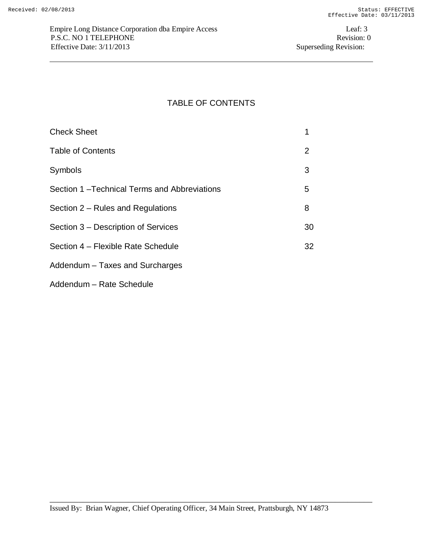# TABLE OF CONTENTS

| <b>Check Sheet</b>                          |    |
|---------------------------------------------|----|
| <b>Table of Contents</b>                    | 2  |
| Symbols                                     | 3  |
| Section 1-Technical Terms and Abbreviations | 5  |
| Section 2 – Rules and Regulations           | 8  |
| Section 3 – Description of Services         | 30 |
| Section 4 – Flexible Rate Schedule          | 32 |
| Addendum – Taxes and Surcharges             |    |

Addendum – Rate Schedule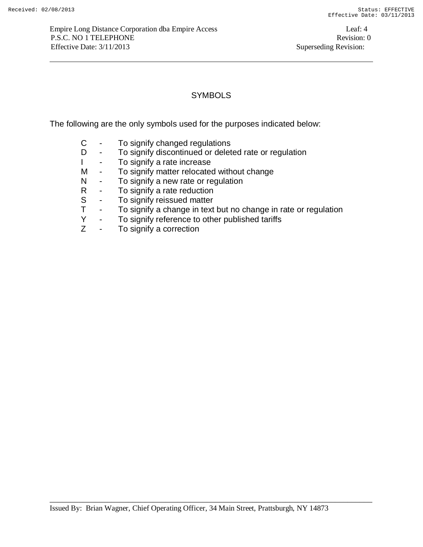## **SYMBOLS**

The following are the only symbols used for the purposes indicated below:

- C To signify changed regulations
- D To signify discontinued or deleted rate or regulation
- I To signify a rate increase
- M To signify matter relocated without change
- N To signify a new rate or regulation
- R To signify a rate reduction
- S To signify reissued matter<br>T To signify a change in text
- To signify a change in text but no change in rate or regulation
- Y To signify reference to other published tariffs
- Z To signify a correction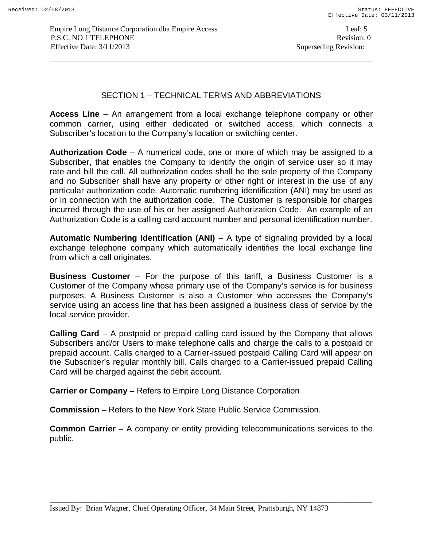## SECTION 1 – TECHNICAL TERMS AND ABBREVIATIONS

**Access Line** – An arrangement from a local exchange telephone company or other common carrier, using either dedicated or switched access, which connects a Subscriber's location to the Company's location or switching center.

**Authorization Code** – A numerical code, one or more of which may be assigned to a Subscriber, that enables the Company to identify the origin of service user so it may rate and bill the call. All authorization codes shall be the sole property of the Company and no Subscriber shall have any property or other right or interest in the use of any particular authorization code. Automatic numbering identification (ANI) may be used as or in connection with the authorization code. The Customer is responsible for charges incurred through the use of his or her assigned Authorization Code. An example of an Authorization Code is a calling card account number and personal identification number.

**Automatic Numbering Identification (ANI)** – A type of signaling provided by a local exchange telephone company which automatically identifies the local exchange line from which a call originates.

**Business Customer** – For the purpose of this tariff, a Business Customer is a Customer of the Company whose primary use of the Company's service is for business purposes. A Business Customer is also a Customer who accesses the Company's service using an access line that has been assigned a business class of service by the local service provider.

**Calling Card** – A postpaid or prepaid calling card issued by the Company that allows Subscribers and/or Users to make telephone calls and charge the calls to a postpaid or prepaid account. Calls charged to a Carrier-issued postpaid Calling Card will appear on the Subscriber's regular monthly bill. Calls charged to a Carrier-issued prepaid Calling Card will be charged against the debit account.

**Carrier or Company** – Refers to Empire Long Distance Corporation

**Commission** – Refers to the New York State Public Service Commission.

**Common Carrier** – A company or entity providing telecommunications services to the public.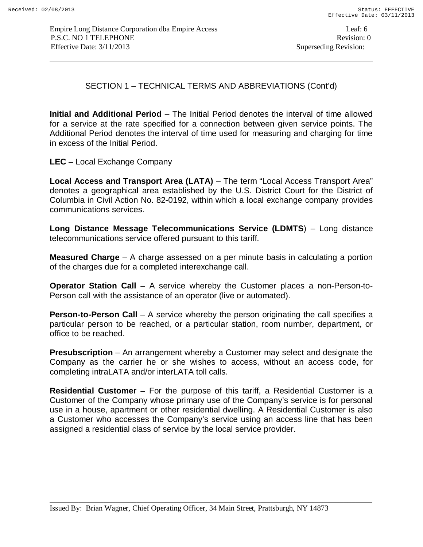SECTION 1 – TECHNICAL TERMS AND ABBREVIATIONS (Cont'd)

**Initial and Additional Period** – The Initial Period denotes the interval of time allowed for a service at the rate specified for a connection between given service points. The Additional Period denotes the interval of time used for measuring and charging for time in excess of the Initial Period.

**LEC** – Local Exchange Company

**Local Access and Transport Area (LATA)** – The term "Local Access Transport Area" denotes a geographical area established by the U.S. District Court for the District of Columbia in Civil Action No. 82-0192, within which a local exchange company provides communications services.

**Long Distance Message Telecommunications Service (LDMTS**) – Long distance telecommunications service offered pursuant to this tariff.

**Measured Charge** – A charge assessed on a per minute basis in calculating a portion of the charges due for a completed interexchange call.

**Operator Station Call** – A service whereby the Customer places a non-Person-to-Person call with the assistance of an operator (live or automated).

**Person-to-Person Call** – A service whereby the person originating the call specifies a particular person to be reached, or a particular station, room number, department, or office to be reached.

**Presubscription** – An arrangement whereby a Customer may select and designate the Company as the carrier he or she wishes to access, without an access code, for completing intraLATA and/or interLATA toll calls.

**Residential Customer** – For the purpose of this tariff, a Residential Customer is a Customer of the Company whose primary use of the Company's service is for personal use in a house, apartment or other residential dwelling. A Residential Customer is also a Customer who accesses the Company's service using an access line that has been assigned a residential class of service by the local service provider.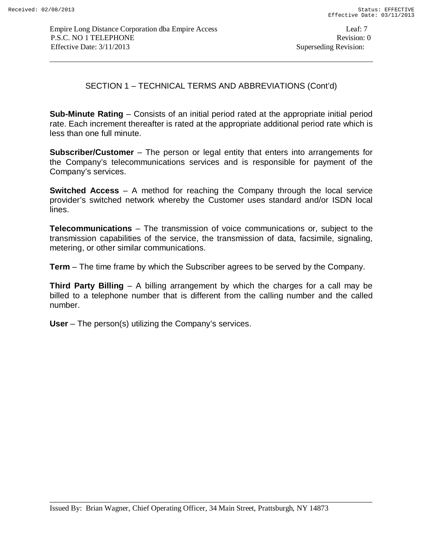SECTION 1 – TECHNICAL TERMS AND ABBREVIATIONS (Cont'd)

**Sub-Minute Rating** – Consists of an initial period rated at the appropriate initial period rate. Each increment thereafter is rated at the appropriate additional period rate which is less than one full minute.

**Subscriber/Customer** – The person or legal entity that enters into arrangements for the Company's telecommunications services and is responsible for payment of the Company's services.

**Switched Access** – A method for reaching the Company through the local service provider's switched network whereby the Customer uses standard and/or ISDN local lines.

**Telecommunications** – The transmission of voice communications or, subject to the transmission capabilities of the service, the transmission of data, facsimile, signaling, metering, or other similar communications.

**Term** – The time frame by which the Subscriber agrees to be served by the Company.

**Third Party Billing** – A billing arrangement by which the charges for a call may be billed to a telephone number that is different from the calling number and the called number.

**User** – The person(s) utilizing the Company's services.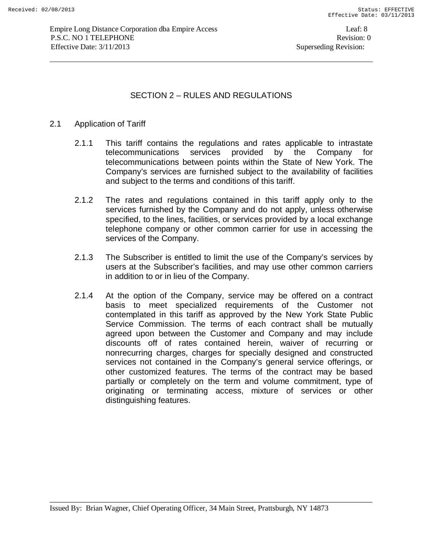# SECTION 2 – RULES AND REGULATIONS

### 2.1 Application of Tariff

- 2.1.1 This tariff contains the regulations and rates applicable to intrastate telecommunications services provided by the Company for telecommunications between points within the State of New York. The Company's services are furnished subject to the availability of facilities and subject to the terms and conditions of this tariff.
- 2.1.2 The rates and regulations contained in this tariff apply only to the services furnished by the Company and do not apply, unless otherwise specified, to the lines, facilities, or services provided by a local exchange telephone company or other common carrier for use in accessing the services of the Company.
- 2.1.3 The Subscriber is entitled to limit the use of the Company's services by users at the Subscriber's facilities, and may use other common carriers in addition to or in lieu of the Company.
- 2.1.4 At the option of the Company, service may be offered on a contract basis to meet specialized requirements of the Customer not contemplated in this tariff as approved by the New York State Public Service Commission. The terms of each contract shall be mutually agreed upon between the Customer and Company and may include discounts off of rates contained herein, waiver of recurring or nonrecurring charges, charges for specially designed and constructed services not contained in the Company's general service offerings, or other customized features. The terms of the contract may be based partially or completely on the term and volume commitment, type of originating or terminating access, mixture of services or other distinguishing features.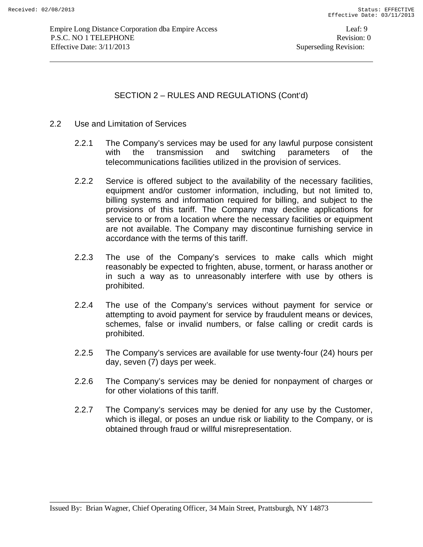- 2.2 Use and Limitation of Services
	- 2.2.1 The Company's services may be used for any lawful purpose consistent with the transmission and switching parameters of the telecommunications facilities utilized in the provision of services.
	- 2.2.2 Service is offered subject to the availability of the necessary facilities, equipment and/or customer information, including, but not limited to, billing systems and information required for billing, and subject to the provisions of this tariff. The Company may decline applications for service to or from a location where the necessary facilities or equipment are not available. The Company may discontinue furnishing service in accordance with the terms of this tariff.
	- 2.2.3 The use of the Company's services to make calls which might reasonably be expected to frighten, abuse, torment, or harass another or in such a way as to unreasonably interfere with use by others is prohibited.
	- 2.2.4 The use of the Company's services without payment for service or attempting to avoid payment for service by fraudulent means or devices, schemes, false or invalid numbers, or false calling or credit cards is prohibited.
	- 2.2.5 The Company's services are available for use twenty-four (24) hours per day, seven (7) days per week.
	- 2.2.6 The Company's services may be denied for nonpayment of charges or for other violations of this tariff.
	- 2.2.7 The Company's services may be denied for any use by the Customer, which is illegal, or poses an undue risk or liability to the Company, or is obtained through fraud or willful misrepresentation.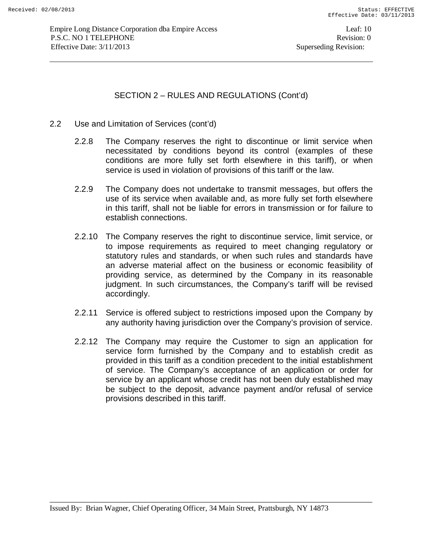- 2.2 Use and Limitation of Services (cont'd)
	- 2.2.8 The Company reserves the right to discontinue or limit service when necessitated by conditions beyond its control (examples of these conditions are more fully set forth elsewhere in this tariff), or when service is used in violation of provisions of this tariff or the law.
	- 2.2.9 The Company does not undertake to transmit messages, but offers the use of its service when available and, as more fully set forth elsewhere in this tariff, shall not be liable for errors in transmission or for failure to establish connections.
	- 2.2.10 The Company reserves the right to discontinue service, limit service, or to impose requirements as required to meet changing regulatory or statutory rules and standards, or when such rules and standards have an adverse material affect on the business or economic feasibility of providing service, as determined by the Company in its reasonable judgment. In such circumstances, the Company's tariff will be revised accordingly.
	- 2.2.11 Service is offered subject to restrictions imposed upon the Company by any authority having jurisdiction over the Company's provision of service.
	- 2.2.12 The Company may require the Customer to sign an application for service form furnished by the Company and to establish credit as provided in this tariff as a condition precedent to the initial establishment of service. The Company's acceptance of an application or order for service by an applicant whose credit has not been duly established may be subject to the deposit, advance payment and/or refusal of service provisions described in this tariff.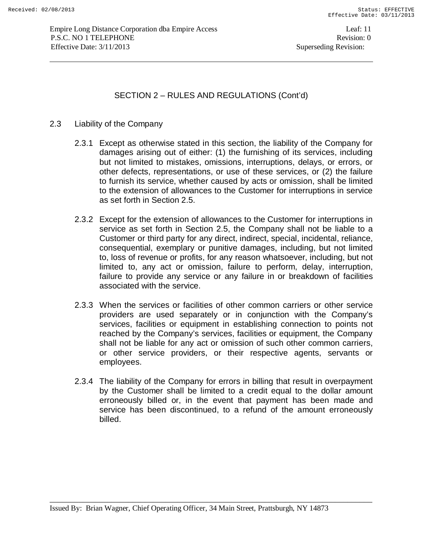#### 2.3 Liability of the Company

- 2.3.1 Except as otherwise stated in this section, the liability of the Company for damages arising out of either: (1) the furnishing of its services, including but not limited to mistakes, omissions, interruptions, delays, or errors, or other defects, representations, or use of these services, or (2) the failure to furnish its service, whether caused by acts or omission, shall be limited to the extension of allowances to the Customer for interruptions in service as set forth in Section 2.5.
- 2.3.2 Except for the extension of allowances to the Customer for interruptions in service as set forth in Section 2.5, the Company shall not be liable to a Customer or third party for any direct, indirect, special, incidental, reliance, consequential, exemplary or punitive damages, including, but not limited to, loss of revenue or profits, for any reason whatsoever, including, but not limited to, any act or omission, failure to perform, delay, interruption, failure to provide any service or any failure in or breakdown of facilities associated with the service.
- 2.3.3 When the services or facilities of other common carriers or other service providers are used separately or in conjunction with the Company's services, facilities or equipment in establishing connection to points not reached by the Company's services, facilities or equipment, the Company shall not be liable for any act or omission of such other common carriers, or other service providers, or their respective agents, servants or employees.
- 2.3.4 The liability of the Company for errors in billing that result in overpayment by the Customer shall be limited to a credit equal to the dollar amount erroneously billed or, in the event that payment has been made and service has been discontinued, to a refund of the amount erroneously billed.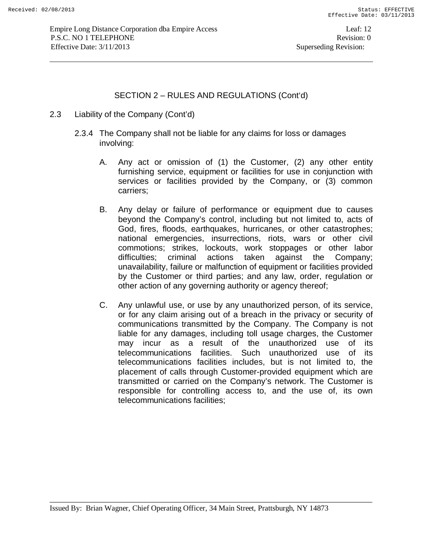- 2.3 Liability of the Company (Cont'd)
	- 2.3.4 The Company shall not be liable for any claims for loss or damages involving:
		- A. Any act or omission of (1) the Customer, (2) any other entity furnishing service, equipment or facilities for use in conjunction with services or facilities provided by the Company, or (3) common carriers;
		- B. Any delay or failure of performance or equipment due to causes beyond the Company's control, including but not limited to, acts of God, fires, floods, earthquakes, hurricanes, or other catastrophes; national emergencies, insurrections, riots, wars or other civil commotions; strikes, lockouts, work stoppages or other labor difficulties; criminal actions taken against the Company; unavailability, failure or malfunction of equipment or facilities provided by the Customer or third parties; and any law, order, regulation or other action of any governing authority or agency thereof;
		- C. Any unlawful use, or use by any unauthorized person, of its service, or for any claim arising out of a breach in the privacy or security of communications transmitted by the Company. The Company is not liable for any damages, including toll usage charges, the Customer may incur as a result of the unauthorized use of its telecommunications facilities. Such unauthorized use of its telecommunications facilities includes, but is not limited to, the placement of calls through Customer-provided equipment which are transmitted or carried on the Company's network. The Customer is responsible for controlling access to, and the use of, its own telecommunications facilities;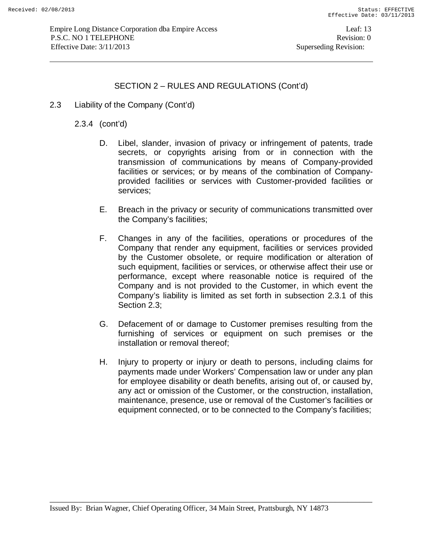2.3 Liability of the Company (Cont'd)

2.3.4 (cont'd)

- D. Libel, slander, invasion of privacy or infringement of patents, trade secrets, or copyrights arising from or in connection with the transmission of communications by means of Company-provided facilities or services; or by means of the combination of Companyprovided facilities or services with Customer-provided facilities or services;
- E. Breach in the privacy or security of communications transmitted over the Company's facilities;
- F. Changes in any of the facilities, operations or procedures of the Company that render any equipment, facilities or services provided by the Customer obsolete, or require modification or alteration of such equipment, facilities or services, or otherwise affect their use or performance, except where reasonable notice is required of the Company and is not provided to the Customer, in which event the Company's liability is limited as set forth in subsection 2.3.1 of this Section 2.3;
- G. Defacement of or damage to Customer premises resulting from the furnishing of services or equipment on such premises or the installation or removal thereof;
- H. Injury to property or injury or death to persons, including claims for payments made under Workers' Compensation law or under any plan for employee disability or death benefits, arising out of, or caused by, any act or omission of the Customer, or the construction, installation, maintenance, presence, use or removal of the Customer's facilities or equipment connected, or to be connected to the Company's facilities;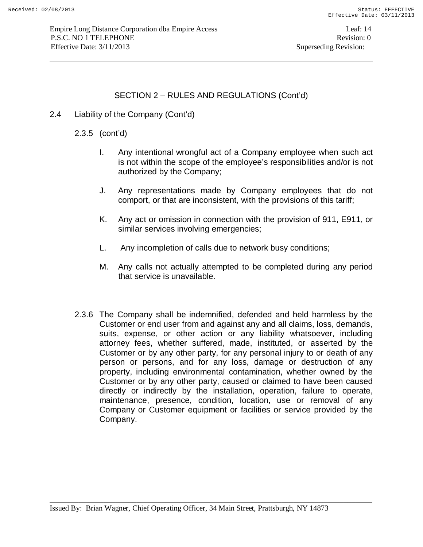2.4 Liability of the Company (Cont'd)

2.3.5 (cont'd)

- I. Any intentional wrongful act of a Company employee when such act is not within the scope of the employee's responsibilities and/or is not authorized by the Company;
- J. Any representations made by Company employees that do not comport, or that are inconsistent, with the provisions of this tariff;
- K. Any act or omission in connection with the provision of 911, E911, or similar services involving emergencies;
- L. Any incompletion of calls due to network busy conditions;
- M. Any calls not actually attempted to be completed during any period that service is unavailable.
- 2.3.6 The Company shall be indemnified, defended and held harmless by the Customer or end user from and against any and all claims, loss, demands, suits, expense, or other action or any liability whatsoever, including attorney fees, whether suffered, made, instituted, or asserted by the Customer or by any other party, for any personal injury to or death of any person or persons, and for any loss, damage or destruction of any property, including environmental contamination, whether owned by the Customer or by any other party, caused or claimed to have been caused directly or indirectly by the installation, operation, failure to operate, maintenance, presence, condition, location, use or removal of any Company or Customer equipment or facilities or service provided by the Company.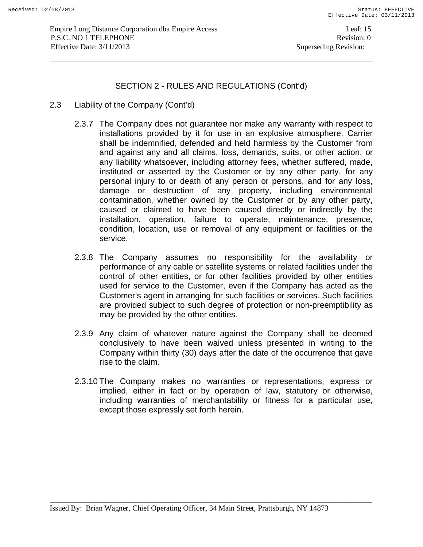- 2.3 Liability of the Company (Cont'd)
	- 2.3.7 The Company does not guarantee nor make any warranty with respect to installations provided by it for use in an explosive atmosphere. Carrier shall be indemnified, defended and held harmless by the Customer from and against any and all claims, loss, demands, suits, or other action, or any liability whatsoever, including attorney fees, whether suffered, made, instituted or asserted by the Customer or by any other party, for any personal injury to or death of any person or persons, and for any loss, damage or destruction of any property, including environmental contamination, whether owned by the Customer or by any other party, caused or claimed to have been caused directly or indirectly by the installation, operation, failure to operate, maintenance, presence, condition, location, use or removal of any equipment or facilities or the service.
	- 2.3.8 The Company assumes no responsibility for the availability or performance of any cable or satellite systems or related facilities under the control of other entities, or for other facilities provided by other entities used for service to the Customer, even if the Company has acted as the Customer's agent in arranging for such facilities or services. Such facilities are provided subject to such degree of protection or non-preemptibility as may be provided by the other entities.
	- 2.3.9 Any claim of whatever nature against the Company shall be deemed conclusively to have been waived unless presented in writing to the Company within thirty (30) days after the date of the occurrence that gave rise to the claim.
	- 2.3.10 The Company makes no warranties or representations, express or implied, either in fact or by operation of law, statutory or otherwise, including warranties of merchantability or fitness for a particular use, except those expressly set forth herein.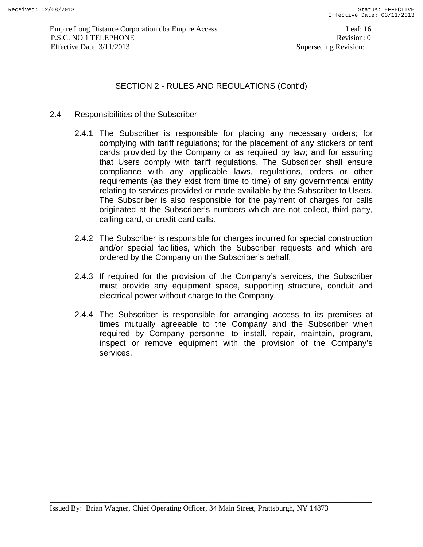#### 2.4 Responsibilities of the Subscriber

- 2.4.1 The Subscriber is responsible for placing any necessary orders; for complying with tariff regulations; for the placement of any stickers or tent cards provided by the Company or as required by law; and for assuring that Users comply with tariff regulations. The Subscriber shall ensure compliance with any applicable laws, regulations, orders or other requirements (as they exist from time to time) of any governmental entity relating to services provided or made available by the Subscriber to Users. The Subscriber is also responsible for the payment of charges for calls originated at the Subscriber's numbers which are not collect, third party, calling card, or credit card calls.
- 2.4.2 The Subscriber is responsible for charges incurred for special construction and/or special facilities, which the Subscriber requests and which are ordered by the Company on the Subscriber's behalf.
- 2.4.3 If required for the provision of the Company's services, the Subscriber must provide any equipment space, supporting structure, conduit and electrical power without charge to the Company.
- 2.4.4 The Subscriber is responsible for arranging access to its premises at times mutually agreeable to the Company and the Subscriber when required by Company personnel to install, repair, maintain, program, inspect or remove equipment with the provision of the Company's services.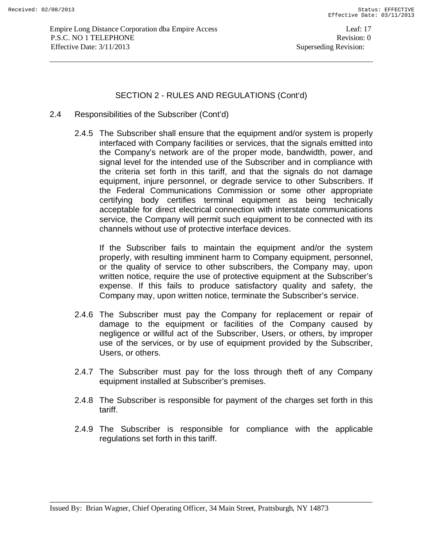- 2.4 Responsibilities of the Subscriber (Cont'd)
	- 2.4.5 The Subscriber shall ensure that the equipment and/or system is properly interfaced with Company facilities or services, that the signals emitted into the Company's network are of the proper mode, bandwidth, power, and signal level for the intended use of the Subscriber and in compliance with the criteria set forth in this tariff, and that the signals do not damage equipment, injure personnel, or degrade service to other Subscribers. If the Federal Communications Commission or some other appropriate certifying body certifies terminal equipment as being technically acceptable for direct electrical connection with interstate communications service, the Company will permit such equipment to be connected with its channels without use of protective interface devices.

If the Subscriber fails to maintain the equipment and/or the system properly, with resulting imminent harm to Company equipment, personnel, or the quality of service to other subscribers, the Company may, upon written notice, require the use of protective equipment at the Subscriber's expense. If this fails to produce satisfactory quality and safety, the Company may, upon written notice, terminate the Subscriber's service.

- 2.4.6 The Subscriber must pay the Company for replacement or repair of damage to the equipment or facilities of the Company caused by negligence or willful act of the Subscriber, Users, or others, by improper use of the services, or by use of equipment provided by the Subscriber, Users, or others.
- 2.4.7 The Subscriber must pay for the loss through theft of any Company equipment installed at Subscriber's premises.
- 2.4.8 The Subscriber is responsible for payment of the charges set forth in this tariff.
- 2.4.9 The Subscriber is responsible for compliance with the applicable regulations set forth in this tariff.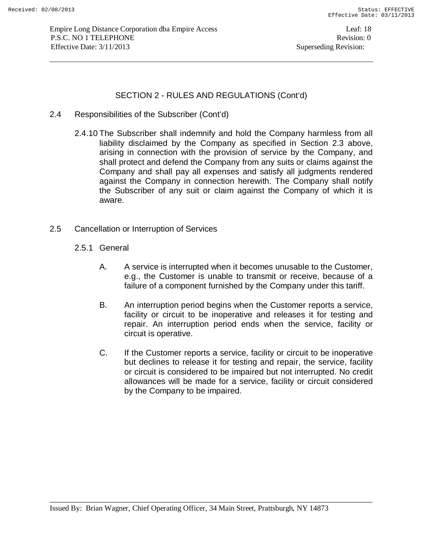- 2.4 Responsibilities of the Subscriber (Cont'd)
	- 2.4.10 The Subscriber shall indemnify and hold the Company harmless from all liability disclaimed by the Company as specified in Section 2.3 above, arising in connection with the provision of service by the Company, and shall protect and defend the Company from any suits or claims against the Company and shall pay all expenses and satisfy all judgments rendered against the Company in connection herewith. The Company shall notify the Subscriber of any suit or claim against the Company of which it is aware.
- 2.5 Cancellation or Interruption of Services
	- 2.5.1 General
		- A. A service is interrupted when it becomes unusable to the Customer, e.g., the Customer is unable to transmit or receive, because of a failure of a component furnished by the Company under this tariff.
		- B. An interruption period begins when the Customer reports a service, facility or circuit to be inoperative and releases it for testing and repair. An interruption period ends when the service, facility or circuit is operative.
		- C. If the Customer reports a service, facility or circuit to be inoperative but declines to release it for testing and repair, the service, facility or circuit is considered to be impaired but not interrupted. No credit allowances will be made for a service, facility or circuit considered by the Company to be impaired.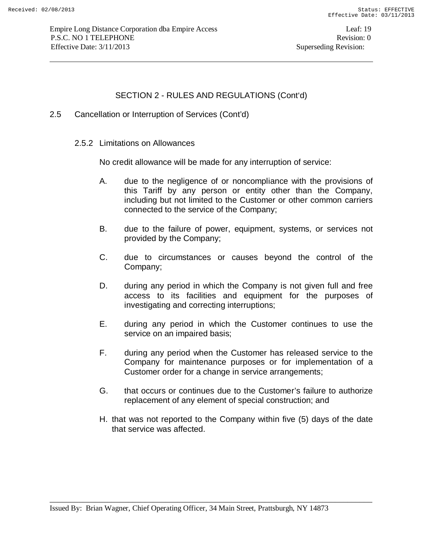- 2.5 Cancellation or Interruption of Services (Cont'd)
	- 2.5.2 Limitations on Allowances

No credit allowance will be made for any interruption of service:

- A. due to the negligence of or noncompliance with the provisions of this Tariff by any person or entity other than the Company, including but not limited to the Customer or other common carriers connected to the service of the Company;
- B. due to the failure of power, equipment, systems, or services not provided by the Company;
- C. due to circumstances or causes beyond the control of the Company;
- D. during any period in which the Company is not given full and free access to its facilities and equipment for the purposes of investigating and correcting interruptions;
- E. during any period in which the Customer continues to use the service on an impaired basis;
- F. during any period when the Customer has released service to the Company for maintenance purposes or for implementation of a Customer order for a change in service arrangements;
- G. that occurs or continues due to the Customer's failure to authorize replacement of any element of special construction; and
- H. that was not reported to the Company within five (5) days of the date that service was affected.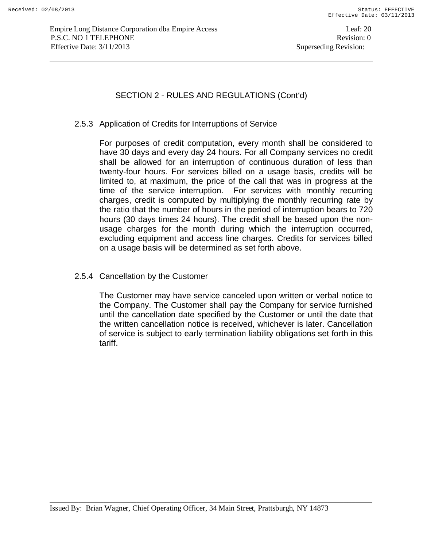#### 2.5.3 Application of Credits for Interruptions of Service

For purposes of credit computation, every month shall be considered to have 30 days and every day 24 hours. For all Company services no credit shall be allowed for an interruption of continuous duration of less than twenty-four hours. For services billed on a usage basis, credits will be limited to, at maximum, the price of the call that was in progress at the time of the service interruption. For services with monthly recurring charges, credit is computed by multiplying the monthly recurring rate by the ratio that the number of hours in the period of interruption bears to 720 hours (30 days times 24 hours). The credit shall be based upon the nonusage charges for the month during which the interruption occurred, excluding equipment and access line charges. Credits for services billed on a usage basis will be determined as set forth above.

### 2.5.4 Cancellation by the Customer

The Customer may have service canceled upon written or verbal notice to the Company. The Customer shall pay the Company for service furnished until the cancellation date specified by the Customer or until the date that the written cancellation notice is received, whichever is later. Cancellation of service is subject to early termination liability obligations set forth in this tariff.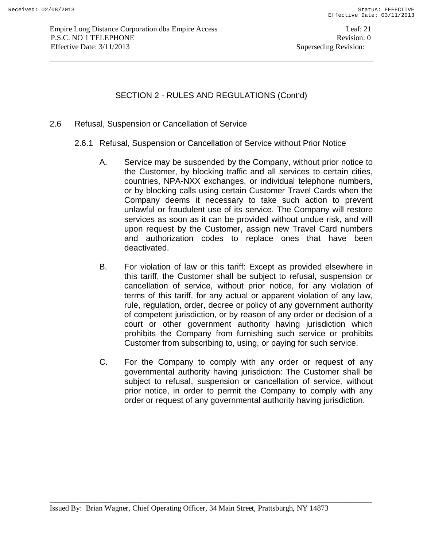#### 2.6 Refusal, Suspension or Cancellation of Service

- 2.6.1 Refusal, Suspension or Cancellation of Service without Prior Notice
	- A. Service may be suspended by the Company, without prior notice to the Customer, by blocking traffic and all services to certain cities, countries, NPA-NXX exchanges, or individual telephone numbers, or by blocking calls using certain Customer Travel Cards when the Company deems it necessary to take such action to prevent unlawful or fraudulent use of its service. The Company will restore services as soon as it can be provided without undue risk, and will upon request by the Customer, assign new Travel Card numbers and authorization codes to replace ones that have been deactivated.
	- B. For violation of law or this tariff: Except as provided elsewhere in this tariff, the Customer shall be subject to refusal, suspension or cancellation of service, without prior notice, for any violation of terms of this tariff, for any actual or apparent violation of any law, rule, regulation, order, decree or policy of any government authority of competent jurisdiction, or by reason of any order or decision of a court or other government authority having jurisdiction which prohibits the Company from furnishing such service or prohibits Customer from subscribing to, using, or paying for such service.
	- C. For the Company to comply with any order or request of any governmental authority having jurisdiction: The Customer shall be subject to refusal, suspension or cancellation of service, without prior notice, in order to permit the Company to comply with any order or request of any governmental authority having jurisdiction.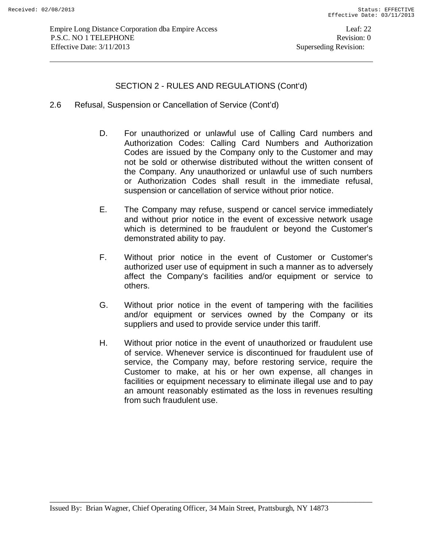- 2.6 Refusal, Suspension or Cancellation of Service (Cont'd)
	- D. For unauthorized or unlawful use of Calling Card numbers and Authorization Codes: Calling Card Numbers and Authorization Codes are issued by the Company only to the Customer and may not be sold or otherwise distributed without the written consent of the Company. Any unauthorized or unlawful use of such numbers or Authorization Codes shall result in the immediate refusal, suspension or cancellation of service without prior notice.
	- E. The Company may refuse, suspend or cancel service immediately and without prior notice in the event of excessive network usage which is determined to be fraudulent or beyond the Customer's demonstrated ability to pay.
	- F. Without prior notice in the event of Customer or Customer's authorized user use of equipment in such a manner as to adversely affect the Company's facilities and/or equipment or service to others.
	- G. Without prior notice in the event of tampering with the facilities and/or equipment or services owned by the Company or its suppliers and used to provide service under this tariff.
	- H. Without prior notice in the event of unauthorized or fraudulent use of service. Whenever service is discontinued for fraudulent use of service, the Company may, before restoring service, require the Customer to make, at his or her own expense, all changes in facilities or equipment necessary to eliminate illegal use and to pay an amount reasonably estimated as the loss in revenues resulting from such fraudulent use.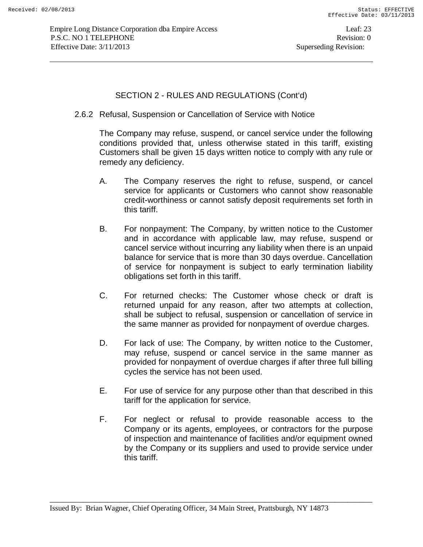2.6.2 Refusal, Suspension or Cancellation of Service with Notice

The Company may refuse, suspend, or cancel service under the following conditions provided that, unless otherwise stated in this tariff, existing Customers shall be given 15 days written notice to comply with any rule or remedy any deficiency.

- A. The Company reserves the right to refuse, suspend, or cancel service for applicants or Customers who cannot show reasonable credit-worthiness or cannot satisfy deposit requirements set forth in this tariff.
- B. For nonpayment: The Company, by written notice to the Customer and in accordance with applicable law, may refuse, suspend or cancel service without incurring any liability when there is an unpaid balance for service that is more than 30 days overdue. Cancellation of service for nonpayment is subject to early termination liability obligations set forth in this tariff.
- C. For returned checks: The Customer whose check or draft is returned unpaid for any reason, after two attempts at collection, shall be subject to refusal, suspension or cancellation of service in the same manner as provided for nonpayment of overdue charges.
- D. For lack of use: The Company, by written notice to the Customer, may refuse, suspend or cancel service in the same manner as provided for nonpayment of overdue charges if after three full billing cycles the service has not been used.
- E. For use of service for any purpose other than that described in this tariff for the application for service.
- F. For neglect or refusal to provide reasonable access to the Company or its agents, employees, or contractors for the purpose of inspection and maintenance of facilities and/or equipment owned by the Company or its suppliers and used to provide service under this tariff.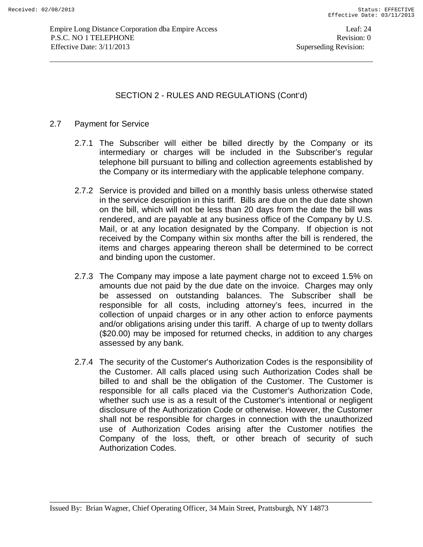### 2.7 Payment for Service

- 2.7.1 The Subscriber will either be billed directly by the Company or its intermediary or charges will be included in the Subscriber's regular telephone bill pursuant to billing and collection agreements established by the Company or its intermediary with the applicable telephone company.
- 2.7.2 Service is provided and billed on a monthly basis unless otherwise stated in the service description in this tariff. Bills are due on the due date shown on the bill, which will not be less than 20 days from the date the bill was rendered, and are payable at any business office of the Company by U.S. Mail, or at any location designated by the Company. If objection is not received by the Company within six months after the bill is rendered, the items and charges appearing thereon shall be determined to be correct and binding upon the customer.
- 2.7.3 The Company may impose a late payment charge not to exceed 1.5% on amounts due not paid by the due date on the invoice. Charges may only be assessed on outstanding balances. The Subscriber shall be responsible for all costs, including attorney's fees, incurred in the collection of unpaid charges or in any other action to enforce payments and/or obligations arising under this tariff. A charge of up to twenty dollars (\$20.00) may be imposed for returned checks, in addition to any charges assessed by any bank.
- 2.7.4 The security of the Customer's Authorization Codes is the responsibility of the Customer. All calls placed using such Authorization Codes shall be billed to and shall be the obligation of the Customer. The Customer is responsible for all calls placed via the Customer's Authorization Code, whether such use is as a result of the Customer's intentional or negligent disclosure of the Authorization Code or otherwise. However, the Customer shall not be responsible for charges in connection with the unauthorized use of Authorization Codes arising after the Customer notifies the Company of the loss, theft, or other breach of security of such Authorization Codes.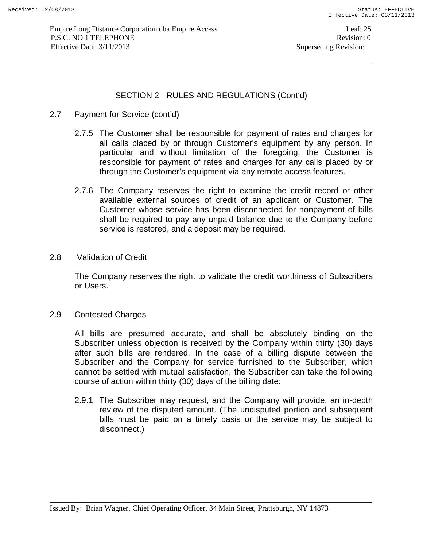- 2.7 Payment for Service (cont'd)
	- 2.7.5 The Customer shall be responsible for payment of rates and charges for all calls placed by or through Customer's equipment by any person. In particular and without limitation of the foregoing, the Customer is responsible for payment of rates and charges for any calls placed by or through the Customer's equipment via any remote access features.
	- 2.7.6 The Company reserves the right to examine the credit record or other available external sources of credit of an applicant or Customer. The Customer whose service has been disconnected for nonpayment of bills shall be required to pay any unpaid balance due to the Company before service is restored, and a deposit may be required.
- 2.8 Validation of Credit

The Company reserves the right to validate the credit worthiness of Subscribers or Users.

2.9 Contested Charges

All bills are presumed accurate, and shall be absolutely binding on the Subscriber unless objection is received by the Company within thirty (30) days after such bills are rendered. In the case of a billing dispute between the Subscriber and the Company for service furnished to the Subscriber, which cannot be settled with mutual satisfaction, the Subscriber can take the following course of action within thirty (30) days of the billing date:

2.9.1 The Subscriber may request, and the Company will provide, an in-depth review of the disputed amount. (The undisputed portion and subsequent bills must be paid on a timely basis or the service may be subject to disconnect.)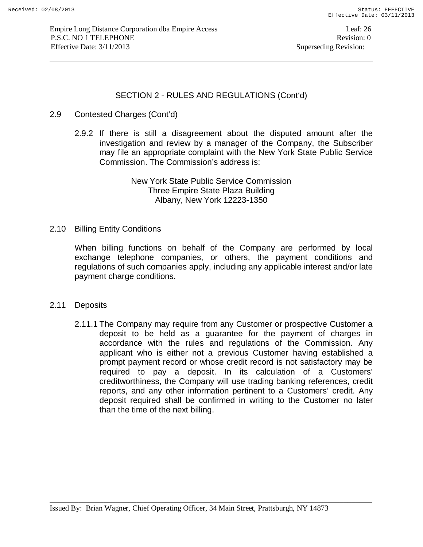### 2.9 Contested Charges (Cont'd)

2.9.2 If there is still a disagreement about the disputed amount after the investigation and review by a manager of the Company, the Subscriber may file an appropriate complaint with the New York State Public Service Commission. The Commission's address is:

> New York State Public Service Commission Three Empire State Plaza Building Albany, New York 12223-1350

#### 2.10 Billing Entity Conditions

When billing functions on behalf of the Company are performed by local exchange telephone companies, or others, the payment conditions and regulations of such companies apply, including any applicable interest and/or late payment charge conditions.

#### 2.11 Deposits

2.11.1 The Company may require from any Customer or prospective Customer a deposit to be held as a guarantee for the payment of charges in accordance with the rules and regulations of the Commission. Any applicant who is either not a previous Customer having established a prompt payment record or whose credit record is not satisfactory may be required to pay a deposit. In its calculation of a Customers' creditworthiness, the Company will use trading banking references, credit reports, and any other information pertinent to a Customers' credit. Any deposit required shall be confirmed in writing to the Customer no later than the time of the next billing.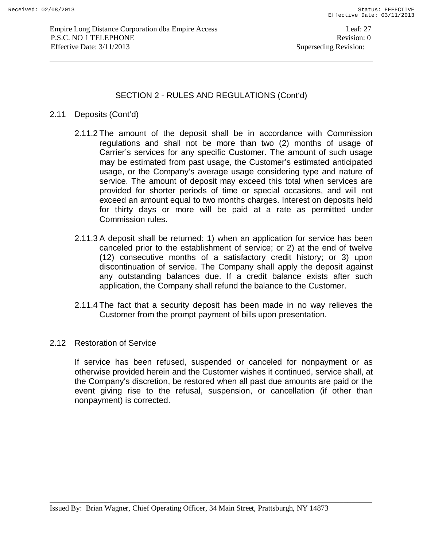### 2.11 Deposits (Cont'd)

- 2.11.2 The amount of the deposit shall be in accordance with Commission regulations and shall not be more than two (2) months of usage of Carrier's services for any specific Customer. The amount of such usage may be estimated from past usage, the Customer's estimated anticipated usage, or the Company's average usage considering type and nature of service. The amount of deposit may exceed this total when services are provided for shorter periods of time or special occasions, and will not exceed an amount equal to two months charges. Interest on deposits held for thirty days or more will be paid at a rate as permitted under Commission rules.
- 2.11.3 A deposit shall be returned: 1) when an application for service has been canceled prior to the establishment of service; or 2) at the end of twelve (12) consecutive months of a satisfactory credit history; or 3) upon discontinuation of service. The Company shall apply the deposit against any outstanding balances due. If a credit balance exists after such application, the Company shall refund the balance to the Customer.
- 2.11.4 The fact that a security deposit has been made in no way relieves the Customer from the prompt payment of bills upon presentation.
- 2.12 Restoration of Service

If service has been refused, suspended or canceled for nonpayment or as otherwise provided herein and the Customer wishes it continued, service shall, at the Company's discretion, be restored when all past due amounts are paid or the event giving rise to the refusal, suspension, or cancellation (if other than nonpayment) is corrected.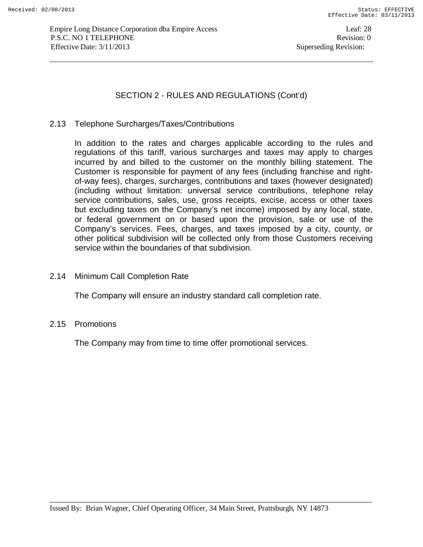### 2.13 Telephone Surcharges/Taxes/Contributions

In addition to the rates and charges applicable according to the rules and regulations of this tariff, various surcharges and taxes may apply to charges incurred by and billed to the customer on the monthly billing statement. The Customer is responsible for payment of any fees (including franchise and rightof-way fees), charges, surcharges, contributions and taxes (however designated) (including without limitation: universal service contributions, telephone relay service contributions, sales, use, gross receipts, excise, access or other taxes but excluding taxes on the Company's net income) imposed by any local, state, or federal government on or based upon the provision, sale or use of the Company's services. Fees, charges, and taxes imposed by a city, county, or other political subdivision will be collected only from those Customers receiving service within the boundaries of that subdivision.

### 2.14 Minimum Call Completion Rate

The Company will ensure an industry standard call completion rate.

#### 2.15 Promotions

The Company may from time to time offer promotional services.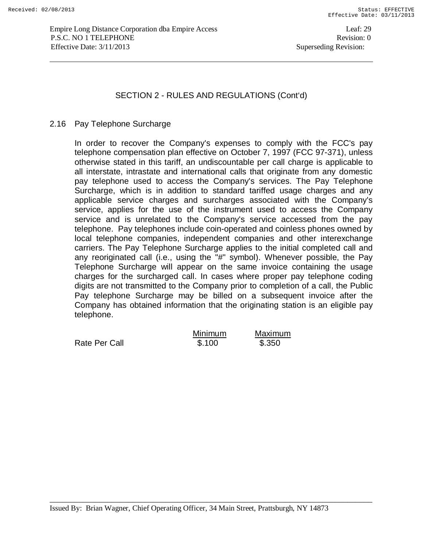#### 2.16 Pay Telephone Surcharge

In order to recover the Company's expenses to comply with the FCC's pay telephone compensation plan effective on October 7, 1997 (FCC 97-371), unless otherwise stated in this tariff, an undiscountable per call charge is applicable to all interstate, intrastate and international calls that originate from any domestic pay telephone used to access the Company's services. The Pay Telephone Surcharge, which is in addition to standard tariffed usage charges and any applicable service charges and surcharges associated with the Company's service, applies for the use of the instrument used to access the Company service and is unrelated to the Company's service accessed from the pay telephone. Pay telephones include coin-operated and coinless phones owned by local telephone companies, independent companies and other interexchange carriers. The Pay Telephone Surcharge applies to the initial completed call and any reoriginated call (i.e., using the "#" symbol). Whenever possible, the Pay Telephone Surcharge will appear on the same invoice containing the usage charges for the surcharged call. In cases where proper pay telephone coding digits are not transmitted to the Company prior to completion of a call, the Public Pay telephone Surcharge may be billed on a subsequent invoice after the Company has obtained information that the originating station is an eligible pay telephone.

|               | <b>Minimum</b> | Maximum |
|---------------|----------------|---------|
| Rate Per Call | \$.100         | \$.350  |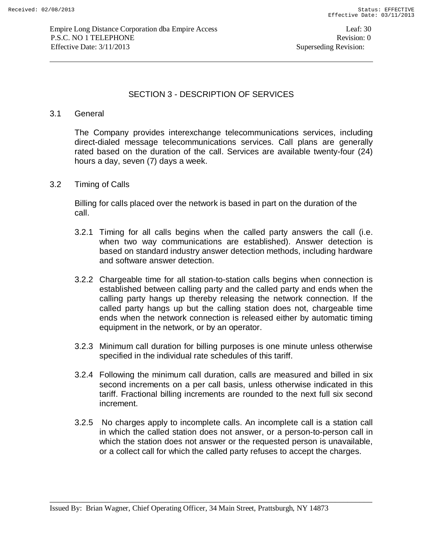## SECTION 3 - DESCRIPTION OF SERVICES

### 3.1 General

The Company provides interexchange telecommunications services, including direct-dialed message telecommunications services. Call plans are generally rated based on the duration of the call. Services are available twenty-four (24) hours a day, seven (7) days a week.

3.2 Timing of Calls

 Billing for calls placed over the network is based in part on the duration of the call.

- 3.2.1 Timing for all calls begins when the called party answers the call (i.e. when two way communications are established). Answer detection is based on standard industry answer detection methods, including hardware and software answer detection.
- 3.2.2 Chargeable time for all station-to-station calls begins when connection is established between calling party and the called party and ends when the calling party hangs up thereby releasing the network connection. If the called party hangs up but the calling station does not, chargeable time ends when the network connection is released either by automatic timing equipment in the network, or by an operator.
- 3.2.3 Minimum call duration for billing purposes is one minute unless otherwise specified in the individual rate schedules of this tariff.
- 3.2.4 Following the minimum call duration, calls are measured and billed in six second increments on a per call basis, unless otherwise indicated in this tariff. Fractional billing increments are rounded to the next full six second increment.
- 3.2.5 No charges apply to incomplete calls. An incomplete call is a station call in which the called station does not answer, or a person-to-person call in which the station does not answer or the requested person is unavailable, or a collect call for which the called party refuses to accept the charges.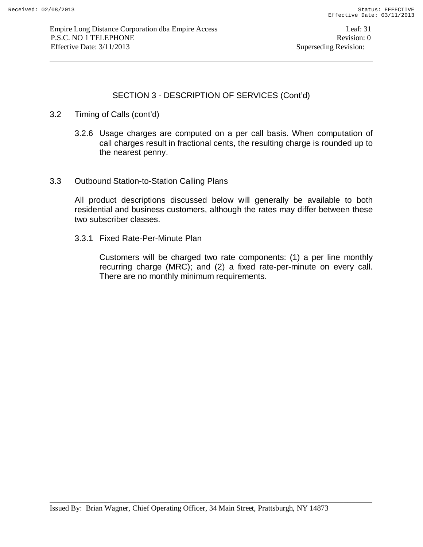# SECTION 3 - DESCRIPTION OF SERVICES (Cont'd)

- 3.2 Timing of Calls (cont'd)
	- 3.2.6 Usage charges are computed on a per call basis. When computation of call charges result in fractional cents, the resulting charge is rounded up to the nearest penny.
- 3.3 Outbound Station-to-Station Calling Plans

All product descriptions discussed below will generally be available to both residential and business customers, although the rates may differ between these two subscriber classes.

3.3.1 Fixed Rate-Per-Minute Plan

Customers will be charged two rate components: (1) a per line monthly recurring charge (MRC); and (2) a fixed rate-per-minute on every call. There are no monthly minimum requirements.